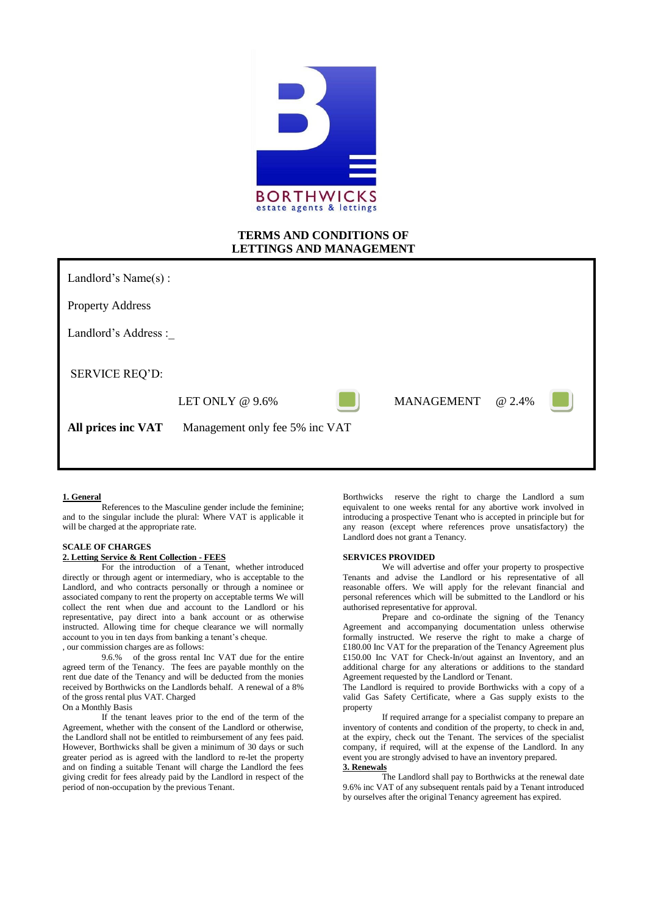

# **TERMS AND CONDITIONS OF LETTINGS AND MANAGEMENT**

Landlord's Name(s) :

Property Address

Landlord's Address :

SERVICE REQ'D:



LET ONLY @ 9.6% MANAGEMENT @ 2.4%

**All prices inc VAT** Management only fee 5% inc VAT

### **1. General**

References to the Masculine gender include the feminine; and to the singular include the plural: Where VAT is applicable it will be charged at the appropriate rate.

### **SCALE OF CHARGES 2. Letting Service & Rent Collection - FEES**

For the introduction of a Tenant, whether introduced directly or through agent or intermediary, who is acceptable to the Landlord, and who contracts personally or through a nominee or associated company to rent the property on acceptable terms We will collect the rent when due and account to the Landlord or his representative, pay direct into a bank account or as otherwise instructed. Allowing time for cheque clearance we will normally account to you in ten days from banking a tenant's cheque. , our commission charges are as follows:

9.6.% of the gross rental Inc VAT due for the entire agreed term of the Tenancy. The fees are payable monthly on the rent due date of the Tenancy and will be deducted from the monies received by Borthwicks on the Landlords behalf. A renewal of a 8% of the gross rental plus VAT. Charged

On a Monthly Basis

If the tenant leaves prior to the end of the term of the Agreement, whether with the consent of the Landlord or otherwise, the Landlord shall not be entitled to reimbursement of any fees paid. However, Borthwicks shall be given a minimum of 30 days or such greater period as is agreed with the landlord to re-let the property and on finding a suitable Tenant will charge the Landlord the fees giving credit for fees already paid by the Landlord in respect of the period of non-occupation by the previous Tenant.

Borthwicks reserve the right to charge the Landlord a sum equivalent to one weeks rental for any abortive work involved in introducing a prospective Tenant who is accepted in principle but for any reason (except where references prove unsatisfactory) the Landlord does not grant a Tenancy.

#### **SERVICES PROVIDED**

We will advertise and offer your property to prospective Tenants and advise the Landlord or his representative of all reasonable offers. We will apply for the relevant financial and personal references which will be submitted to the Landlord or his authorised representative for approval.

Prepare and co-ordinate the signing of the Tenancy Agreement and accompanying documentation unless otherwise formally instructed. We reserve the right to make a charge of £180.00 Inc VAT for the preparation of the Tenancy Agreement plus £150.00 Inc VAT for Check-In/out against an Inventory, and an additional charge for any alterations or additions to the standard Agreement requested by the Landlord or Tenant.

The Landlord is required to provide Borthwicks with a copy of a valid Gas Safety Certificate, where a Gas supply exists to the property

If required arrange for a specialist company to prepare an inventory of contents and condition of the property, to check in and, at the expiry, check out the Tenant. The services of the specialist company, if required, will at the expense of the Landlord. In any event you are strongly advised to have an inventory prepared. **3. Renewals**

The Landlord shall pay to Borthwicks at the renewal date 9.6% inc VAT of any subsequent rentals paid by a Tenant introduced by ourselves after the original Tenancy agreement has expired.